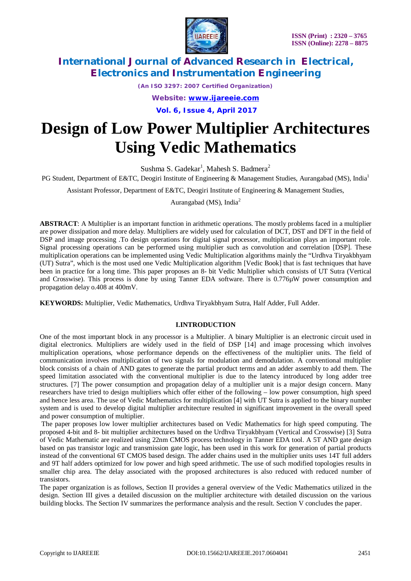

*(An ISO 3297: 2007 Certified Organization)*

*Website: [www.ijareeie.com](http://www.ijareeie.com)*

**Vol. 6, Issue 4, April 2017**

# **Design of Low Power Multiplier Architectures Using Vedic Mathematics**

Sushma S. Gadekar<sup>1</sup>, Mahesh S. Badmera<sup>2</sup>

PG Student, Department of E&TC, Deogiri Institute of Engineering & Management Studies, Aurangabad (MS), India<sup>1</sup>

Assistant Professor, Department of E&TC, Deogiri Institute of Engineering & Management Studies,

Aurangabad (MS), India<sup>2</sup>

**ABSTRACT**: A Multiplier is an important function in arithmetic operations. The mostly problems faced in a multiplier are power dissipation and more delay. Multipliers are widely used for calculation of DCT, DST and DFT in the field of DSP and image processing .To design operations for digital signal processor, multiplication plays an important role. Signal processing operations can be performed using multiplier such as convolution and correlation [DSP]. These multiplication operations can be implemented using Vedic Multiplication algorithms mainly the "Urdhva Tiryakbhyam (UT) Sutra", which is the most used one Vedic Multiplication algorithm [Vedic Book] that is fast techniques that have been in practice for a long time. This paper proposes an 8- bit Vedic Multiplier which consists of UT Sutra (Vertical and Crosswise). This process is done by using Tanner EDA software. There is 0.776µW power consumption and propagation delay o.408 at 400mV.

**KEYWORDS:** Multiplier, Vedic Mathematics, Urdhva Tiryakbhyam Sutra, Half Adder, Full Adder.

### **I.INTRODUCTION**

One of the most important block in any processor is a Multiplier. A binary Multiplier is an electronic circuit used in digital electronics. Multipliers are widely used in the field of DSP [14] and image processing which involves multiplication operations, whose performance depends on the effectiveness of the multiplier units. The field of communication involves multiplication of two signals for modulation and demodulation. A conventional multiplier block consists of a chain of AND gates to generate the partial product terms and an adder assembly to add them. The speed limitation associated with the conventional multiplier is due to the latency introduced by long adder tree structures. [7] The power consumption and propagation delay of a multiplier unit is a major design concern. Many researchers have tried to design multipliers which offer either of the following – low power consumption, high speed and hence less area. The use of Vedic Mathematics for multiplication [4] with UT Sutra is applied to the binary number system and is used to develop digital multiplier architecture resulted in significant improvement in the overall speed and power consumption of multiplier.

The paper proposes low lower multiplier architectures based on Vedic Mathematics for high speed computing. The proposed 4-bit and 8- bit multiplier architectures based on the Urdhva Tiryakbhyam (Vertical and Crosswise) [3] Sutra of Vedic Mathematic are realized using 22nm CMOS process technology in Tanner EDA tool. A 5T AND gate design based on pas transistor logic and transmission gate logic, has been used in this work for generation of partial products instead of the conventional 6T CMOS based design. The adder chains used in the multiplier units uses 14T full adders and 9T half adders optimized for low power and high speed arithmetic. The use of such modified topologies results in smaller chip area. The delay associated with the proposed architectures is also reduced with reduced number of transistors.

The paper organization is as follows, Section II provides a general overview of the Vedic Mathematics utilized in the design. Section III gives a detailed discussion on the multiplier architecture with detailed discussion on the various building blocks. The Section IV summarizes the performance analysis and the result. Section V concludes the paper.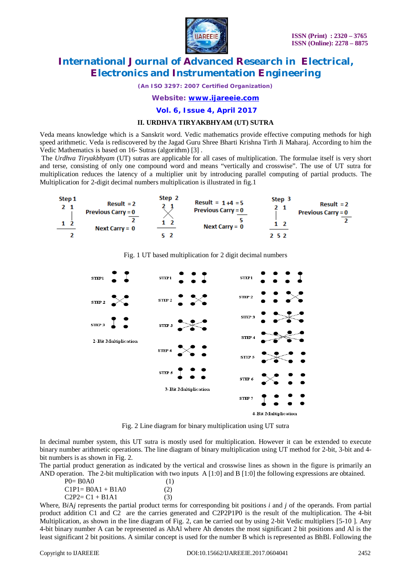

*(An ISO 3297: 2007 Certified Organization)*

*Website: [www.ijareeie.com](http://www.ijareeie.com)*

**Vol. 6, Issue 4, April 2017**

#### **II. URDHVA TIRYAKBHYAM (UT) SUTRA**

Veda means knowledge which is a Sanskrit word. Vedic mathematics provide effective computing methods for high speed arithmetic. Veda is rediscovered by the Jagad Guru Shree Bharti Krishna Tirth Ji Maharaj. According to him the Vedic Mathematics is based on 16- Sutras (algorithm) [3] .

The *Urdhva Tiryakbhyam* (UT) sutras are applicable for all cases of multiplication. The formulae itself is very short and terse, consisting of only one compound word and means "vertically and crosswise". The use of UT sutra for multiplication reduces the latency of a multiplier unit by introducing parallel computing of partial products. The Multiplication for 2-digit decimal numbers multiplication is illustrated in fig.1



Fig. 1 UT based multiplication for 2 digit decimal numbers



Fig. 2 Line diagram for binary multiplication using UT sutra

In decimal number system, this UT sutra is mostly used for multiplication. However it can be extended to execute binary number arithmetic operations. The line diagram of binary multiplication using UT method for 2-bit, 3-bit and 4 bit numbers is as shown in Fig. 2.

The partial product generation as indicated by the vertical and crosswise lines as shown in the figure is primarily an AND operation. The 2-bit multiplication with two inputs A [1:0] and B [1:0] the following expressions are obtained.

| $P0=$ BOAO           | (1) |
|----------------------|-----|
| $C1P1 = BOA1 + B1A0$ | (2) |
| $C2P2 = C1 + B1A1$   | (3) |

Where, B*i*A*j* represents the partial product terms for corresponding bit positions *i* and *j* of the operands. From partial product addition C1 and C2 are the carries generated and C2P2P1P0 is the result of the multiplication. The 4-bit Multiplication, as shown in the line diagram of Fig. 2, can be carried out by using 2-bit Vedic multipliers [5-10 ]. Any 4-bit binary number A can be represented as AhAl where Ah denotes the most significant 2 bit positions and Al is the least significant 2 bit positions. A similar concept is used for the number B which is represented as BhBl. Following the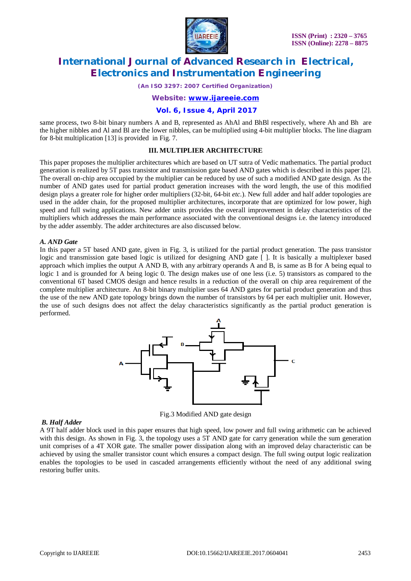

*(An ISO 3297: 2007 Certified Organization)*

*Website: [www.ijareeie.com](http://www.ijareeie.com)*

#### **Vol. 6, Issue 4, April 2017**

same process, two 8-bit binary numbers A and B, represented as AhAl and BhBl respectively, where Ah and Bh are the higher nibbles and Al and Bl are the lower nibbles, can be multiplied using 4-bit multiplier blocks. The line diagram for 8-bit multiplication [13] is provided in Fig. 7.

#### **III. MULTIPLIER ARCHITECTURE**

This paper proposes the multiplier architectures which are based on UT sutra of Vedic mathematics. The partial product generation is realized by 5T pass transistor and transmission gate based AND gates which is described in this paper [2]. The overall on-chip area occupied by the multiplier can be reduced by use of such a modified AND gate design. As the number of AND gates used for partial product generation increases with the word length, the use of this modified design plays a greater role for higher order multipliers (32-bit, 64-bit *etc.*). New full adder and half adder topologies are used in the adder chain, for the proposed multiplier architectures, incorporate that are optimized for low power, high speed and full swing applications. New adder units provides the overall improvement in delay characteristics of the multipliers which addresses the main performance associated with the conventional designs i.e. the latency introduced by the adder assembly. The adder architectures are also discussed below.

#### *A. AND Gate*

In this paper a 5T based AND gate, given in Fig. 3, is utilized for the partial product generation. The pass transistor logic and transmission gate based logic is utilized for designing AND gate [ ]. It is basically a multiplexer based approach which implies the output A AND B, with any arbitrary operands A and B, is same as B for A being equal to logic 1 and is grounded for A being logic 0. The design makes use of one less (i.e. 5) transistors as compared to the conventional 6T based CMOS design and hence results in a reduction of the overall on chip area requirement of the complete multiplier architecture. An 8-bit binary multiplier uses 64 AND gates for partial product generation and thus the use of the new AND gate topology brings down the number of transistors by 64 per each multiplier unit. However, the use of such designs does not affect the delay characteristics significantly as the partial product generation is performed.



Fig.3 Modified AND gate design

#### *B. Half Adder*

A 9T half adder block used in this paper ensures that high speed, low power and full swing arithmetic can be achieved with this design. As shown in Fig. 3, the topology uses a 5T AND gate for carry generation while the sum generation unit comprises of a 4T XOR gate. The smaller power dissipation along with an improved delay characteristic can be achieved by using the smaller transistor count which ensures a compact design. The full swing output logic realization enables the topologies to be used in cascaded arrangements efficiently without the need of any additional swing restoring buffer units.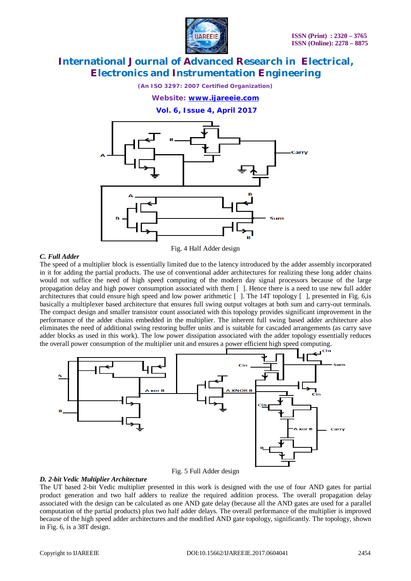

*(An ISO 3297: 2007 Certified Organization)*

*Website: [www.ijareeie.com](http://www.ijareeie.com)*

**Vol. 6, Issue 4, April 2017**



### *C. Full Adder*

Fig. 4 Half Adder design

The speed of a multiplier block is essentially limited due to the latency introduced by the adder assembly incorporated in it for adding the partial products. The use of conventional adder architectures for realizing these long adder chains would not suffice the need of high speed computing of the modern day signal processors because of the large propagation delay and high power consumption associated with them [ ]. Hence there is a need to use new full adder architectures that could ensure high speed and low power arithmetic  $\lceil \cdot \rceil$ . The 14T topology  $\lceil \cdot \rceil$ , presented in Fig. 6, is basically a multiplexer based architecture that ensures full swing output voltages at both sum and carry-out terminals. The compact design and smaller transistor count associated with this topology provides significant improvement in the performance of the adder chains embedded in the multiplier. The inherent full swing based adder architecture also eliminates the need of additional swing restoring buffer units and is suitable for cascaded arrangements (as carry save adder blocks as used in this work). The low power dissipation associated with the adder topology essentially reduces the overall power consumption of the multiplier unit and ensures a power efficient high speed computing.





### *D. 2-bit Vedic Multiplier Architecture*

The UT based 2-bit Vedic multiplier presented in this work is designed with the use of four AND gates for partial product generation and two half adders to realize the required addition process. The overall propagation delay associated with the design can be calculated as one AND gate delay (because all the AND gates are used for a parallel computation of the partial products) plus two half adder delays. The overall performance of the multiplier is improved because of the high speed adder architectures and the modified AND gate topology, significantly. The topology, shown in Fig. 6, is a 38T design.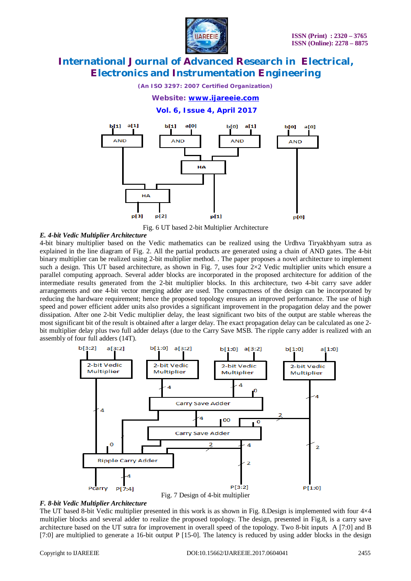

*(An ISO 3297: 2007 Certified Organization)*

#### *Website: [www.ijareeie.com](http://www.ijareeie.com)*

**Vol. 6, Issue 4, April 2017**



Fig. 6 UT based 2-bit Multiplier Architecture

#### *E. 4-bit Vedic Multiplier Architecture*

4-bit binary multiplier based on the Vedic mathematics can be realized using the Urdhva Tiryakbhyam sutra as explained in the line diagram of Fig. 2. All the partial products are generated using a chain of AND gates. The 4-bit binary multiplier can be realized using 2-bit multiplier method. . The paper proposes a novel architecture to implement such a design. This UT based architecture, as shown in Fig. 7, uses four 2×2 Vedic multiplier units which ensure a parallel computing approach. Several adder blocks are incorporated in the proposed architecture for addition of the intermediate results generated from the 2-bit multiplier blocks. In this architecture, two 4-bit carry save adder arrangements and one 4-bit vector merging adder are used. The compactness of the design can be incorporated by reducing the hardware requirement; hence the proposed topology ensures an improved performance. The use of high speed and power efficient adder units also provides a significant improvement in the propagation delay and the power dissipation. After one 2-bit Vedic multiplier delay, the least significant two bits of the output are stable whereas the most significant bit of the result is obtained after a larger delay. The exact propagation delay can be calculated as one 2 bit multiplier delay plus two full adder delays (due to the Carry Save MSB. The ripple carry adder is realized with an assembly of four full adders (14T).



#### *F. 8-bit Vedic Multiplier Architecture*

The UT based 8-bit Vedic multiplier presented in this work is as shown in Fig. 8.Design is implemented with four 4×4 multiplier blocks and several adder to realize the proposed topology. The design, presented in Fig.8, is a carry save architecture based on the UT sutra for improvement in overall speed of the topology. Two 8-bit inputs A [7:0] and B [7:0] are multiplied to generate a 16-bit output P [15-0]. The latency is reduced by using adder blocks in the design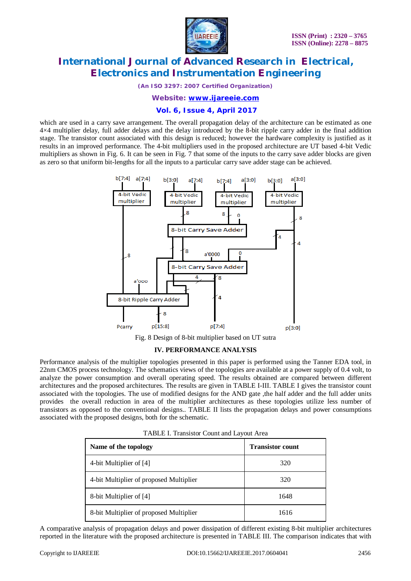

*(An ISO 3297: 2007 Certified Organization)*

*Website: [www.ijareeie.com](http://www.ijareeie.com)*

### **Vol. 6, Issue 4, April 2017**

which are used in a carry save arrangement. The overall propagation delay of the architecture can be estimated as one 4×4 multiplier delay, full adder delays and the delay introduced by the 8-bit ripple carry adder in the final addition stage. The transistor count associated with this design is reduced; however the hardware complexity is justified as it results in an improved performance. The 4-bit multipliers used in the proposed architecture are UT based 4-bit Vedic multipliers as shown in Fig. 6. It can be seen in Fig. 7 that some of the inputs to the carry save adder blocks are given as zero so that uniform bit-lengths for all the inputs to a particular carry save adder stage can be achieved.



Fig. 8 Design of 8-bit multiplier based on UT sutra

### **IV. PERFORMANCE ANALYSIS**

Performance analysis of the multiplier topologies presented in this paper is performed using the Tanner EDA tool, in 22nm CMOS process technology. The schematics views of the topologies are available at a power supply of 0.4 volt, to analyze the power consumption and overall operating speed. The results obtained are compared between different architectures and the proposed architectures. The results are given in TABLE I-III. TABLE I gives the transistor count associated with the topologies. The use of modified designs for the AND gate ,the half adder and the full adder units provides the overall reduction in area of the multiplier architectures as these topologies utilize less number of transistors as opposed to the conventional designs.. TABLE II lists the propagation delays and power consumptions associated with the proposed designs, both for the schematic.

| TABLE I. Transistor Count and Layout Area |  |  |
|-------------------------------------------|--|--|
|-------------------------------------------|--|--|

| Name of the topology                    | <b>Transistor count</b> |
|-----------------------------------------|-------------------------|
| 4-bit Multiplier of [4]                 | 320                     |
| 4-bit Multiplier of proposed Multiplier | 320                     |
| 8-bit Multiplier of [4]                 | 1648                    |
| 8-bit Multiplier of proposed Multiplier | 1616                    |

A comparative analysis of propagation delays and power dissipation of different existing 8-bit multiplier architectures reported in the literature with the proposed architecture is presented in TABLE III. The comparison indicates that with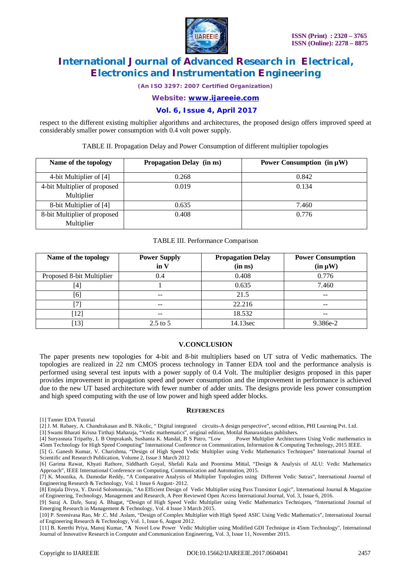

*(An ISO 3297: 2007 Certified Organization)*

*Website: [www.ijareeie.com](http://www.ijareeie.com)*

### **Vol. 6, Issue 4, April 2017**

respect to the different existing multiplier algorithms and architectures, the proposed design offers improved speed at considerably smaller power consumption with 0.4 volt power supply.

TABLE II. Propagation Delay and Power Consumption of different multiplier topologies

| Name of the topology         | <b>Propagation Delay (in ns)</b> | Power Consumption $(in \mu W)$ |
|------------------------------|----------------------------------|--------------------------------|
| 4-bit Multiplier of [4]      | 0.268                            | 0.842                          |
| 4-bit Multiplier of proposed | 0.019                            | 0.134                          |
| Multiplier                   |                                  |                                |
| 8-bit Multiplier of [4]      | 0.635                            | 7.460                          |
| 8-bit Multiplier of proposed | 0.408                            | 0.776                          |
| Multiplier                   |                                  |                                |

#### TABLE III. Performance Comparison

| Name of the topology      | <b>Power Supply</b> | <b>Propagation Delay</b> | <b>Power Consumption</b> |
|---------------------------|---------------------|--------------------------|--------------------------|
|                           | in V                | (in ns)                  | $(in \mu W)$             |
| Proposed 8-bit Multiplier | 0.4                 | 0.408                    | 0.776                    |
| $\left[4\right]$          |                     | 0.635                    | 7.460                    |
| [6]                       | $\qquad \qquad -$   | 21.5                     | $- -$                    |
|                           | $\qquad \qquad -$   | 22.216                   | $- -$                    |
| $\lceil 12 \rceil$        | --                  | 18.532                   | --                       |
| $\left[13\right]$         | $2.5$ to 5          | 14.13sec                 | 9.386e-2                 |

#### **V.CONCLUSION**

The paper presents new topologies for 4-bit and 8-bit multipliers based on UT sutra of Vedic mathematics. The topologies are realized in 22 nm CMOS process technology in Tanner EDA tool and the performance analysis is performed using several test inputs with a power supply of 0.4 Volt. The multiplier designs proposed in this paper provides improvement in propagation speed and power consumption and the improvement in performance is achieved due to the new UT based architecture with fewer number of adder units. The designs provide less power consumption and high speed computing with the use of low power and high speed adder blocks.

#### **REFERENCES**

[1] Tanner EDA Tutorial

[2] J. M. Rabaey, A. Chandrakasan and B. Nikolic, " Digital integrated circuits-A design perspective", second edition, PHI Learning Pvt. Ltd.

[3] Swami Bharati Krisna Tirthaji Maharaja, "Vedic mathematics", original edition, Motilal Banarasidass publishers.

[4] Suryasnata Tripathy, L B Omprakash, Sushanta K. Mandal, B S Patro, "Low Power Multiplier Architectures Using Vedic mathematics in 45nm Technology for High Speed Computing" International Conference on Communication, Information & Computing Technology, 2015 IEEE. [5] G. Ganesh Kumar, V. Charishma, "Design of High Speed Vedic Multiplier using Vedic Mathematics Techniques" International Journal of

Scientific and Research Publication, Volume 2, Issue 3 March 2012

[6] Garima Rawat, Khyati Rathore, Siddharth Goyal, Shefali Kala and Poornima Mittal, "Design & Analysis of ALU: Vedic Mathematics Approach", IEEE International Conference on Computing, Communication and Automation, 2015.

[7] K. Mounika, A. Damodar Reddy, "A Comparative Analysis of Multiplier Topologies using Different Vedic Sutras", International Journal of Engineering Research & Technology, Vol. 1 Issue 6 August- 2012.

[8] Emjala Divya, Y. David Solomonraju, "An Efficient Design of Vedic Multiplier using Pass Transistor Logic", International Journal & Magazine of Engineering, Technology, Management and Research, A Peer Reviewed Open Access International Journal, Vol. 3, Issue 6, 2016.

[9] Suraj A. Dafe, Suraj A. Bhagat, "Design of High Speed Vedic Multiplier using Vedic Mathematics Techniques, "International Journal of Emerging Research in Management & Technology, Vol. 4 Issue 3 March 2015.

[10] P. Sreenivasa Rao, Mr .C. Md .Aslam, "Design of Complex Multiplier with High Speed ASIC Using Vedic Mathematics", International Journal of Engineering Research & Technology, Vol. 1, Issue 6, August 2012.

[11] B. Keerthi Priya, Manoj Kumar, "**A** Novel Low Power Vedic Multiplier using Modified GDI Technique in 45nm Technology", International Journal of Innovative Research in Computer and Communication Engineering, Vol. 3, Issue 11, November 2015.